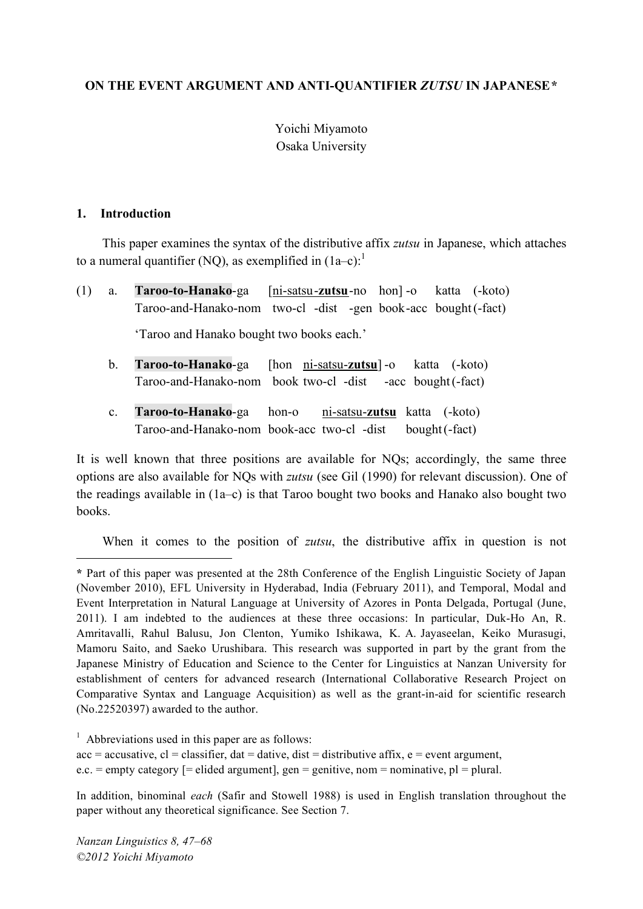### **ON THE EVENT ARGUMENT AND ANTI-QUANTIFIER** *ZUTSU* **IN JAPANESE\***

# Yoichi Miyamoto Osaka University

#### **1. Introduction**

 $\overline{a}$ 

This paper examines the syntax of the distributive affix *zutsu* in Japanese, which attaches to a numeral quantifier (NQ), as exemplified in  $(1a-c)^{11}$ 

| $(1)$ a. | <b>Taroo-to-Hanako-ga</b> [ni-satsu-zutsu-no hon]-o katta (-koto) |  |  |  |
|----------|-------------------------------------------------------------------|--|--|--|
|          | Taroo-and-Hanako-nom two-cl -dist -gen book-acc bought (-fact)    |  |  |  |
|          | 'Taroo and Hanako bought two books each.'                         |  |  |  |

- b. **Taroo-to-Hanako**-ga [hon ni-satsu-**zutsu**] -o katta (-koto) Taroo-and-Hanako-nom book two-cl -dist -acc bought(-fact)
- c. **Taroo-to-Hanako**-ga hon-o ni-satsu-**zutsu** katta (-koto) Taroo-and-Hanako-nom book-acc two-cl -dist bought(-fact)

It is well known that three positions are available for NQs; accordingly, the same three options are also available for NQs with *zutsu* (see Gil (1990) for relevant discussion). One of the readings available in (1a–c) is that Taroo bought two books and Hanako also bought two books.

When it comes to the position of *zutsu*, the distributive affix in question is not

 $<sup>1</sup>$  Abbreviations used in this paper are as follows:</sup>

 $acc = accusative, cl = classifier, dat = dative, dist = distributive affix, e = event argument,$  $e.c.$  = empty category [= elided argument], gen = genitive, nom = nominative,  $pl$  = plural.

In addition, binominal *each* (Safir and Stowell 1988) is used in English translation throughout the paper without any theoretical significance. See Section 7.

*Nanzan Linguistics 8, 47–68 ©2012 Yoichi Miyamoto*

**<sup>\*</sup>** Part of this paper was presented at the 28th Conference of the English Linguistic Society of Japan (November 2010), EFL University in Hyderabad, India (February 2011), and Temporal, Modal and Event Interpretation in Natural Language at University of Azores in Ponta Delgada, Portugal (June, 2011). I am indebted to the audiences at these three occasions: In particular, Duk-Ho An, R. Amritavalli, Rahul Balusu, Jon Clenton, Yumiko Ishikawa, K. A. Jayaseelan, Keiko Murasugi, Mamoru Saito, and Saeko Urushibara. This research was supported in part by the grant from the Japanese Ministry of Education and Science to the Center for Linguistics at Nanzan University for establishment of centers for advanced research (International Collaborative Research Project on Comparative Syntax and Language Acquisition) as well as the grant-in-aid for scientific research (No.22520397) awarded to the author.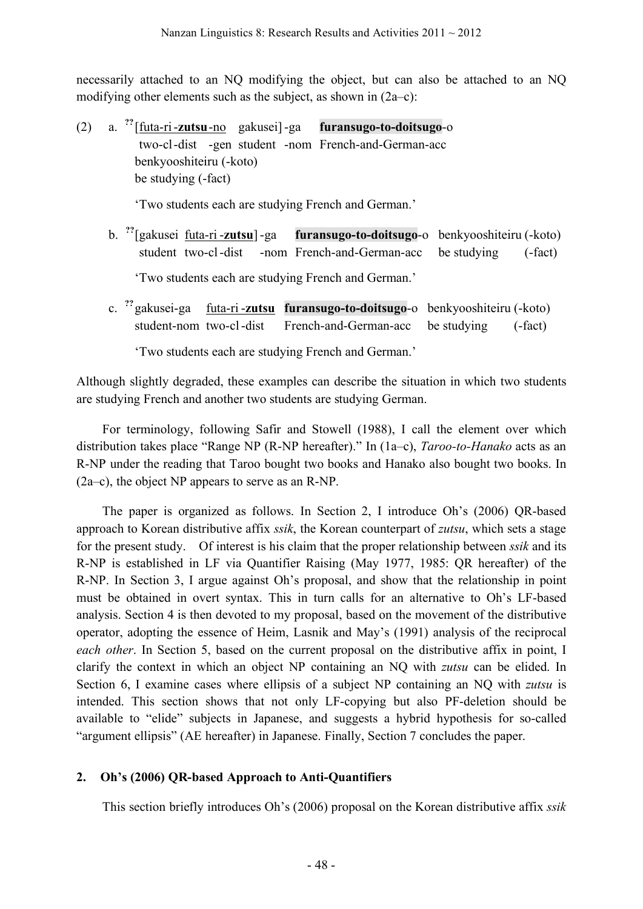necessarily attached to an NQ modifying the object, but can also be attached to an NQ modifying other elements such as the subject, as shown in (2a–c):

 $(2)$ **??** [futa-ri-**zutsu**-no gakusei] -ga **furansugo-to-doitsugo**-o two-cl-dist -gen student -nom French-and-German-acc benkyooshiteiru (-koto) be studying (-fact)

'Two students each are studying French and German.'

b. **??** furansugo-to-doitsugo-o benkyooshiteiru (-koto) student two-cl-dist -nom French-and-German-acc be studying (-fact)

'Two students each are studying French and German.'

c. **??** gakusei-ga futa-ri -**zutsu furansugo-to-doitsugo**-o benkyooshiteiru (-koto) student-nom two-cl-dist French-and-German-acc be studying (-fact)

'Two students each are studying French and German.'

Although slightly degraded, these examples can describe the situation in which two students are studying French and another two students are studying German.

For terminology, following Safir and Stowell (1988), I call the element over which distribution takes place "Range NP (R-NP hereafter)." In (1a–c), *Taroo-to-Hanako* acts as an R-NP under the reading that Taroo bought two books and Hanako also bought two books. In (2a–c), the object NP appears to serve as an R-NP.

The paper is organized as follows. In Section 2, I introduce Oh's (2006) QR-based approach to Korean distributive affix *ssik*, the Korean counterpart of *zutsu*, which sets a stage for the present study. Of interest is his claim that the proper relationship between *ssik* and its R-NP is established in LF via Quantifier Raising (May 1977, 1985: QR hereafter) of the R-NP. In Section 3, I argue against Oh's proposal, and show that the relationship in point must be obtained in overt syntax. This in turn calls for an alternative to Oh's LF-based analysis. Section 4 is then devoted to my proposal, based on the movement of the distributive operator, adopting the essence of Heim, Lasnik and May's (1991) analysis of the reciprocal *each other*. In Section 5, based on the current proposal on the distributive affix in point, I clarify the context in which an object NP containing an NQ with *zutsu* can be elided. In Section 6, I examine cases where ellipsis of a subject NP containing an NQ with *zutsu* is intended. This section shows that not only LF-copying but also PF-deletion should be available to "elide" subjects in Japanese, and suggests a hybrid hypothesis for so-called "argument ellipsis" (AE hereafter) in Japanese. Finally, Section 7 concludes the paper.

## **2. Oh's (2006) QR-based Approach to Anti-Quantifiers**

This section briefly introduces Oh's (2006) proposal on the Korean distributive affix *ssik*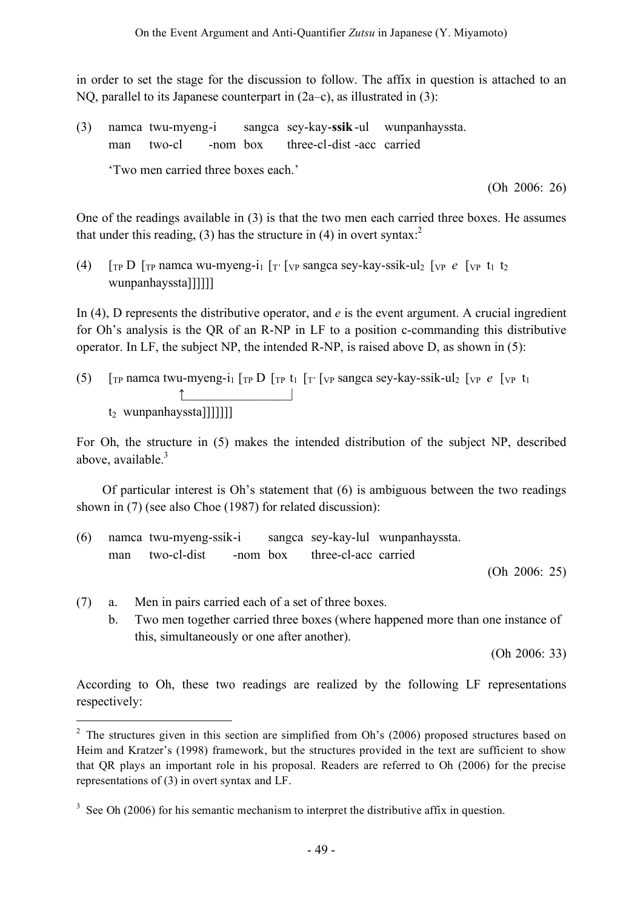in order to set the stage for the discussion to follow. The affix in question is attached to an NQ, parallel to its Japanese counterpart in (2a–c), as illustrated in (3):

(3) namca twu-myeng-i sangca sey-kay-**ssik** -ul wunpanhayssta. man two-cl -nom box three-cl-dist -acc carried

'Two men carried three boxes each.'

(Oh 2006: 26)

One of the readings available in (3) is that the two men each carried three boxes. He assumes that under this reading, (3) has the structure in (4) in overt syntax.<sup>2</sup>

(4)  $\int_{\text{TP}} D \int_{\text{TP}}$  namca wu-myeng-i<sub>1</sub>  $\int_{\text{TP}} \int_{\text{VP}}$  sangca sey-kay-ssik-ul<sub>2</sub>  $\int_{\text{VP}} e \int_{\text{VP}} t_1 t_2$ wunpanhayssta]]]]]]

In (4), D represents the distributive operator, and *e* is the event argument. A crucial ingredient for Oh's analysis is the QR of an R-NP in LF to a position c-commanding this distributive operator. In LF, the subject NP, the intended R-NP, is raised above D, as shown in (5):

(5)  $\int_{\text{TP}}$  namca twu-myeng-i<sub>1</sub>  $\int_{\text{TP}} D \int_{\text{TP}} t_1 \int_{\text{TP}} \int_{\text{VP}}$  sangca sey-kay-ssik-ul<sub>2</sub>  $\int_{\text{VP}} e \int_{\text{VP}} t_1$ ↑\_\_\_\_\_\_\_\_\_\_\_\_\_\_\_\_\_|  $t_2$  wunpanhayssta]]]]]]]

For Oh, the structure in (5) makes the intended distribution of the subject NP, described above, available.<sup>3</sup>

Of particular interest is Oh's statement that (6) is ambiguous between the two readings shown in (7) (see also Choe (1987) for related discussion):

| (6) | namca twu-myeng-ssik-i |             |          | sangca sey-kay-lul wunpanhayssta. |  |
|-----|------------------------|-------------|----------|-----------------------------------|--|
|     | man                    | two-cl-dist | -nom box | three-cl-acc carried              |  |

(Oh 2006: 25)

- (7) a. Men in pairs carried each of a set of three boxes.
	- b. Two men together carried three boxes (where happened more than one instance of this, simultaneously or one after another).

(Oh 2006: 33)

According to Oh, these two readings are realized by the following LF representations respectively:

<sup>&</sup>lt;sup>2</sup> The structures given in this section are simplified from Oh's (2006) proposed structures based on Heim and Kratzer's (1998) framework, but the structures provided in the text are sufficient to show that QR plays an important role in his proposal. Readers are referred to Oh (2006) for the precise representations of (3) in overt syntax and LF.

 $3\text{ See Oh (2006)}$  for his semantic mechanism to interpret the distributive affix in question.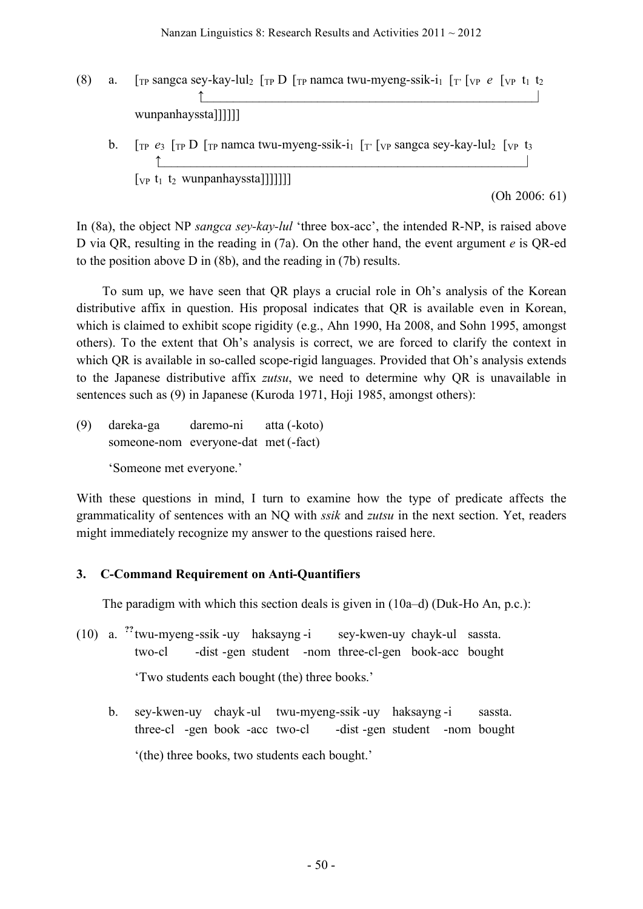- (8) a.  $[\text{TP} \text{ sangca} \text{sey-} \text{kay-} \text{lu}_2]$   $[\text{TP} \text{D} \text{ [TP} \text{ namea} \text{ twu-myeng-ssik-i}_1]$   $[\text{TP} \text{ [VP} \text{ [VP} \text{ [VP} \text{ [VP} \text{ [VP} \text{ [VP} \text{ [VP} \text{ [VP} \text{ [VP} \text{ [VP} \text{ [VP} \text{ [VP} \text{ [VP} \text{ [VP} \text{ [VP} \text{ [VP} \text{ [VP} \text{ [VP} \text{ [VP} \text{ [VP} \text{ [VP} \text{ [VP} \text$ ↑\_\_\_\_\_\_\_\_\_\_\_\_\_\_\_\_\_\_\_\_\_\_\_\_\_\_\_\_\_\_\_\_\_\_\_\_\_\_\_\_\_\_\_\_\_\_\_\_\_\_\_\_| wunpanhayssta]]]]]]
	- b.  $\int_{\text{TP}} e_3 \int_{\text{TP}} D \int_{\text{TP}}$  namca twu-myeng-ssik-i<sub>1</sub>  $\int_{\text{TP}} \int_{\text{VP}}$  sangca sey-kay-lul<sub>2</sub>  $\int_{\text{VP}} t_3$  $\uparrow$  $[vP P t_1 t_2 wunpanhayssta]]]]]]$

(Oh 2006: 61)

In (8a), the object NP *sangca sey-kay-lul* 'three box-acc', the intended R-NP, is raised above D via QR, resulting in the reading in (7a). On the other hand, the event argument *e* is QR-ed to the position above D in (8b), and the reading in (7b) results.

To sum up, we have seen that QR plays a crucial role in Oh's analysis of the Korean distributive affix in question. His proposal indicates that QR is available even in Korean, which is claimed to exhibit scope rigidity (e.g., Ahn 1990, Ha 2008, and Sohn 1995, amongst others). To the extent that Oh's analysis is correct, we are forced to clarify the context in which QR is available in so-called scope-rigid languages. Provided that Oh's analysis extends to the Japanese distributive affix *zutsu*, we need to determine why QR is unavailable in sentences such as (9) in Japanese (Kuroda 1971, Hoji 1985, amongst others):

(9) dareka-ga daremo-ni atta (-koto) someone-nom everyone-dat met (-fact) 'Someone met everyone.'

With these questions in mind, I turn to examine how the type of predicate affects the grammaticality of sentences with an NQ with *ssik* and *zutsu* in the next section. Yet, readers might immediately recognize my answer to the questions raised here.

#### **3. C-Command Requirement on Anti-Quantifiers**

The paradigm with which this section deals is given in (10a–d) (Duk-Ho An, p.c.):

- (10) a. **??** twu-myeng-ssik -uy haksayng -i sey-kwen-uy chayk-ul sassta. two-cl -dist -gen student -nom three-cl-gen book-acc bought 'Two students each bought (the) three books.'
	- b. sey-kwen-uy chayk-ul twu-myeng-ssik -uy haksayng -i sassta. three-cl -gen book -acc two-cl -dist -gen student -nom bought '(the) three books, two students each bought.'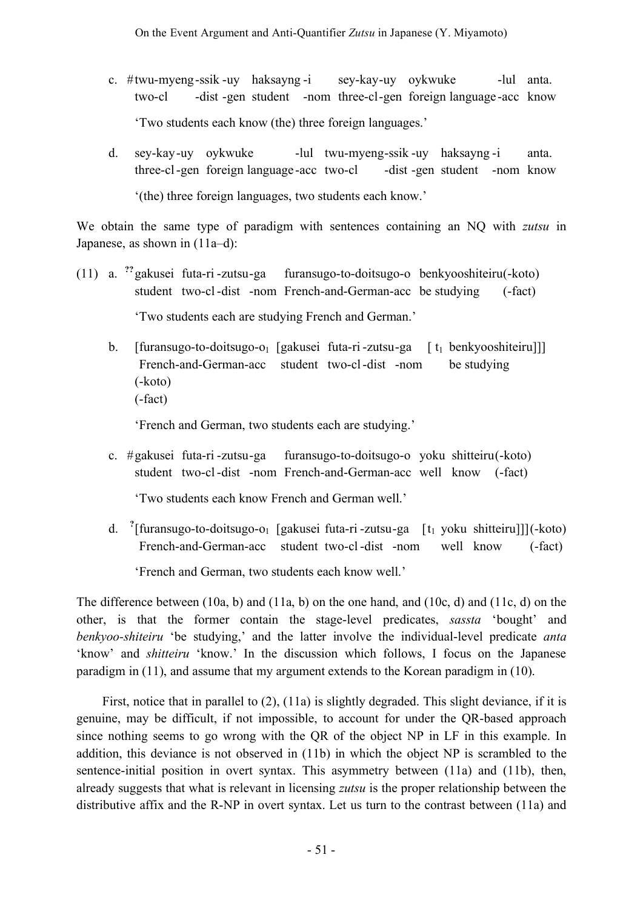- c.  $\#$ twu-myeng-ssik -uy haksayng -i sey-kay-uy oykwuke -lul anta. two-cl -dist -gen student -nom three-cl-gen foreign language -acc know 'Two students each know (the) three foreign languages.'
- d. sey-kay-uy oykwuke -lul twu-myeng-ssik-uy haksayng-i anta. three-cl-gen foreign language-acc two-cl -dist -gen student -nom know '(the) three foreign languages, two students each know.'

We obtain the same type of paradigm with sentences containing an NQ with *zutsu* in Japanese, as shown in (11a–d):

- (11) a. **??** gakusei futa-ri -zutsu-ga furansugo-to-doitsugo-o benkyooshiteiru(-koto) student two-cl-dist -nom French-and-German-acc be studying (-fact) 'Two students each are studying French and German.'
	- b. [furansugo-to-doitsugo-o<sub>1</sub> [gakusei futa-ri -zutsu-ga [ t<sub>1</sub> benkyooshiteiru]]] French-and-German-acc student two-cl-dist -nom be studying (-koto) (-fact)

'French and German, two students each are studying.'

c. #gakusei futa-ri -zutsu-ga furansugo-to-doitsugo-o yoku shitteiru(-koto) student two-cl-dist -nom French-and-German-acc well know (-fact)

'Two students each know French and German well.'

d. <sup>?</sup>[furansugo-to-doitsugo-o<sub>1</sub> [gakusei futa-ri -zutsu-ga [t<sub>1</sub> yoku shitteiru]]](-koto) French-and-German-acc student two-cl-dist -nom well know (-fact)

'French and German, two students each know well.'

The difference between (10a, b) and (11a, b) on the one hand, and (10c, d) and (11c, d) on the other, is that the former contain the stage-level predicates, *sassta* 'bought' and *benkyoo-shiteiru* 'be studying,' and the latter involve the individual-level predicate *anta* 'know' and *shitteiru* 'know.' In the discussion which follows, I focus on the Japanese paradigm in (11), and assume that my argument extends to the Korean paradigm in (10).

First, notice that in parallel to (2), (11a) is slightly degraded. This slight deviance, if it is genuine, may be difficult, if not impossible, to account for under the QR-based approach since nothing seems to go wrong with the QR of the object NP in LF in this example. In addition, this deviance is not observed in (11b) in which the object NP is scrambled to the sentence-initial position in overt syntax. This asymmetry between (11a) and (11b), then, already suggests that what is relevant in licensing *zutsu* is the proper relationship between the distributive affix and the R-NP in overt syntax. Let us turn to the contrast between (11a) and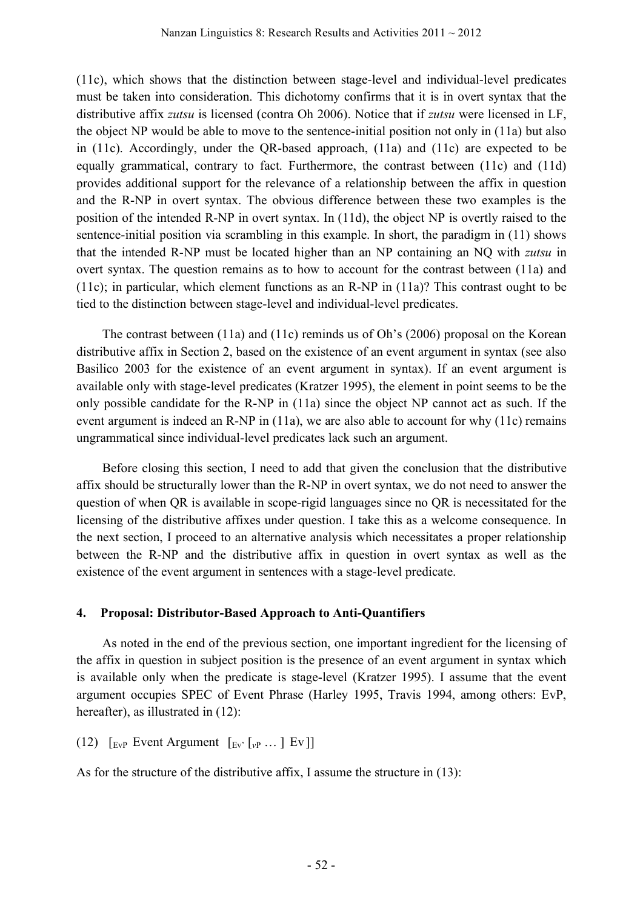(11c), which shows that the distinction between stage-level and individual-level predicates must be taken into consideration. This dichotomy confirms that it is in overt syntax that the distributive affix *zutsu* is licensed (contra Oh 2006). Notice that if *zutsu* were licensed in LF, the object NP would be able to move to the sentence-initial position not only in (11a) but also in (11c). Accordingly, under the QR-based approach, (11a) and (11c) are expected to be equally grammatical, contrary to fact. Furthermore, the contrast between (11c) and (11d) provides additional support for the relevance of a relationship between the affix in question and the R-NP in overt syntax. The obvious difference between these two examples is the position of the intended R-NP in overt syntax. In (11d), the object NP is overtly raised to the sentence-initial position via scrambling in this example. In short, the paradigm in (11) shows that the intended R-NP must be located higher than an NP containing an NQ with *zutsu* in overt syntax. The question remains as to how to account for the contrast between (11a) and (11c); in particular, which element functions as an R-NP in (11a)? This contrast ought to be tied to the distinction between stage-level and individual-level predicates.

The contrast between (11a) and (11c) reminds us of Oh's (2006) proposal on the Korean distributive affix in Section 2, based on the existence of an event argument in syntax (see also Basilico 2003 for the existence of an event argument in syntax). If an event argument is available only with stage-level predicates (Kratzer 1995), the element in point seems to be the only possible candidate for the R-NP in (11a) since the object NP cannot act as such. If the event argument is indeed an R-NP in (11a), we are also able to account for why (11c) remains ungrammatical since individual-level predicates lack such an argument.

Before closing this section, I need to add that given the conclusion that the distributive affix should be structurally lower than the R-NP in overt syntax, we do not need to answer the question of when QR is available in scope-rigid languages since no QR is necessitated for the licensing of the distributive affixes under question. I take this as a welcome consequence. In the next section, I proceed to an alternative analysis which necessitates a proper relationship between the R-NP and the distributive affix in question in overt syntax as well as the existence of the event argument in sentences with a stage-level predicate.

#### **4. Proposal: Distributor-Based Approach to Anti-Quantifiers**

As noted in the end of the previous section, one important ingredient for the licensing of the affix in question in subject position is the presence of an event argument in syntax which is available only when the predicate is stage-level (Kratzer 1995). I assume that the event argument occupies SPEC of Event Phrase (Harley 1995, Travis 1994, among others: EvP, hereafter), as illustrated in  $(12)$ :

(12)  $\lceil \frac{Ev}{P} \rceil$  Event Argument  $\lceil \frac{Ev}{P} \rceil$   $\lceil \frac{V}{V} \rceil$   $\lceil \frac{V}{V} \rceil$ 

As for the structure of the distributive affix, I assume the structure in (13):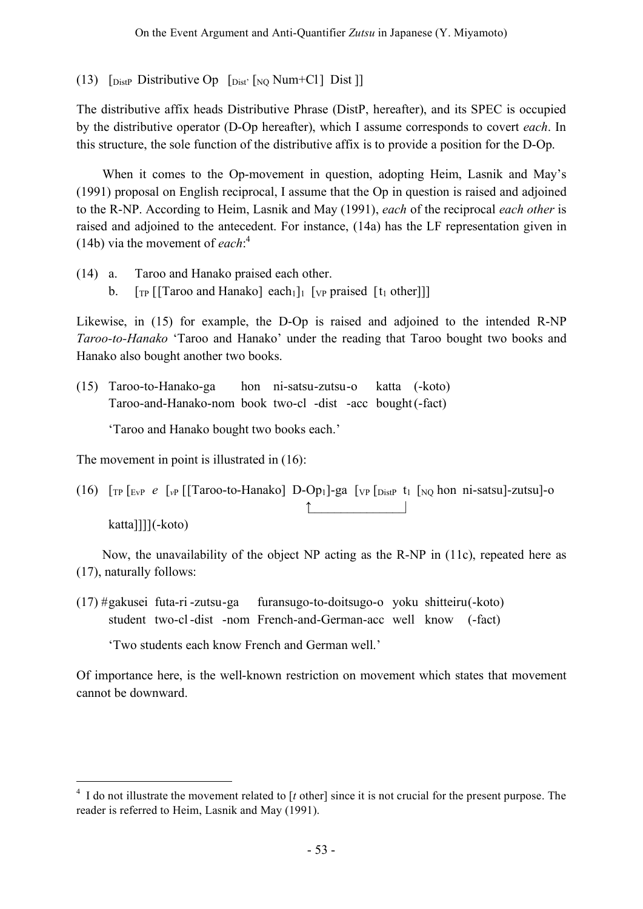(13)  $\lceil \text{Dist}_{\text{Dist}} \rceil$  Distributive Op  $\lceil \text{Dist}_{\text{Dist}} \rceil$  [NO Num+Cl] Dist ]]

The distributive affix heads Distributive Phrase (DistP, hereafter), and its SPEC is occupied by the distributive operator (D-Op hereafter), which I assume corresponds to covert *each*. In this structure, the sole function of the distributive affix is to provide a position for the D-Op.

When it comes to the Op-movement in question, adopting Heim, Lasnik and May's (1991) proposal on English reciprocal, I assume that the Op in question is raised and adjoined to the R-NP. According to Heim, Lasnik and May (1991), *each* of the reciprocal *each other* is raised and adjoined to the antecedent. For instance, (14a) has the LF representation given in (14b) via the movement of *each*: 4

(14) a. Taroo and Hanako praised each other. b.  $\lceil \text{TP} \rceil \lceil \text{Tr} \arccos \arctan \arccos \arctan \arccos \arctan \arccos \arctan \arccos \arctan \arccos \arctan \arccos \arctan \arccos \arctan \arccos \arctan \arccos \arctan \arccos \arctan \arccos \arctan \arccos \arctan \arccos \arctan \arccos \arctan \arccos \arctan \arccos \arctan \arccos \arctan \arccos \arctan \arccos \arctan \arccos \arctan \arccos \arctan \arccos \arctan \arccos \arctan \arccos \ar$ 

Likewise, in (15) for example, the D-Op is raised and adjoined to the intended R-NP *Taroo-to-Hanako* 'Taroo and Hanako' under the reading that Taroo bought two books and Hanako also bought another two books.

(15) Taroo-to-Hanako-ga hon ni-satsu-zutsu-o katta (-koto) Taroo-and-Hanako-nom book two-cl -dist -acc bought(-fact)

'Taroo and Hanako bought two books each.'

The movement in point is illustrated in (16):

(16)  $\lceil \frac{1}{r} \rceil$   $\lceil \frac{1}{r} \rceil$   $\lceil \frac{1}{r} \rceil$   $\lceil \frac{1}{r} \rceil$   $\lceil \frac{1}{r} \rceil$   $\lceil \frac{1}{r} \rceil$   $\lceil \frac{1}{r} \rceil$   $\lceil \frac{1}{r} \rceil$   $\lceil \frac{1}{r} \rceil$   $\lceil \frac{1}{r} \rceil$   $\lceil \frac{1}{r} \rceil$   $\lceil \frac{1}{r} \rceil$   $\lceil \frac{1}{r} \rceil$   $\lceil \frac{1$ ↑\_\_\_\_\_\_\_\_\_\_\_\_\_\_\_| katta]]]](-koto)

Now, the unavailability of the object NP acting as the R-NP in (11c), repeated here as (17), naturally follows:

(17) #gakusei futa-ri -zutsu-ga furansugo-to-doitsugo-o yoku shitteiru(-koto) student two-cl-dist -nom French-and-German-acc well know (-fact)

'Two students each know French and German well.'

Of importance here, is the well-known restriction on movement which states that movement cannot be downward.

<sup>&</sup>lt;sup>4</sup> I do not illustrate the movement related to [t other] since it is not crucial for the present purpose. The reader is referred to Heim, Lasnik and May (1991).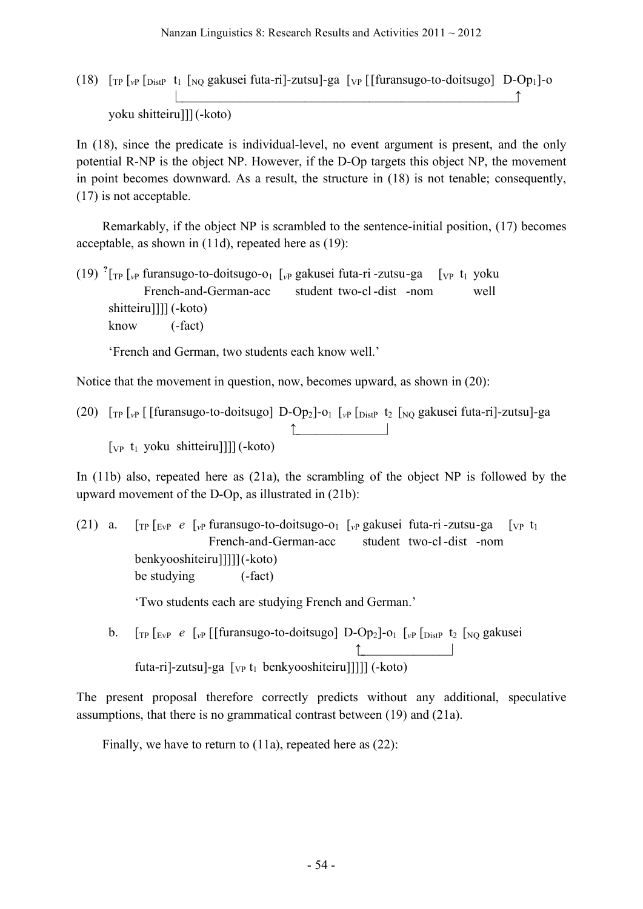(18) [TP [*v*<sup>P</sup> [DistP t1 [NQ gakusei futa-ri]-zutsu]-ga [VP [[furansugo-to-doitsugo] D-Op1]-o |\_\_\_\_\_\_\_\_\_\_\_\_\_\_\_\_\_\_\_\_\_\_\_\_\_\_\_\_\_\_\_\_\_\_\_\_\_\_\_\_\_\_\_\_\_\_\_\_\_\_\_\_\_↑ yoku shitteiru]]](-koto)

In (18), since the predicate is individual-level, no event argument is present, and the only potential R-NP is the object NP. However, if the D-Op targets this object NP, the movement in point becomes downward. As a result, the structure in (18) is not tenable; consequently, (17) is not acceptable.

Remarkably, if the object NP is scrambled to the sentence-initial position, (17) becomes acceptable, as shown in (11d), repeated here as (19):

(19) **?** [TP [*v*<sup>P</sup> furansugo-to-doitsugo-o1 [*v*<sup>P</sup> gakusei futa-ri -zutsu-ga [VP t1 yoku French-and-German-acc student two-cl-dist -nom well shitteiru]]]] (-koto) know (-fact)

'French and German, two students each know well.'

Notice that the movement in question, now, becomes upward, as shown in (20):

(20) [TP [*v*<sup>P</sup> [ [furansugo-to-doitsugo] D-Op2]-o1 [*v*<sup>P</sup> [DistP t2 [NQ gakusei futa-ri]-zutsu]-ga ↑\_\_\_\_\_\_\_\_\_\_\_\_\_\_\_| [<sub>VP</sub> t<sub>1</sub> yoku shitteiru]]]] (-koto)

In (11b) also, repeated here as (21a), the scrambling of the object NP is followed by the upward movement of the D-Op, as illustrated in (21b):

(21) a. [TP [EvP *e* [*v*<sup>P</sup> furansugo-to-doitsugo-o1 [*v*<sup>P</sup> gakusei futa-ri -zutsu-ga [VP t1 French-and-German-acc student two-cl-dist -nom benkyooshiteiru]]]]](-koto) be studying (-fact)

'Two students each are studying French and German.'

b.  $\lceil \frac{1}{T} \rceil$   $\lceil \frac{1}{T} \rceil$   $\lceil \frac{1}{T} \rceil$   $\lceil \frac{1}{T} \rceil$   $\lceil \frac{1}{T} \rceil$   $\lceil \frac{1}{T} \rceil$   $\lceil \frac{1}{T} \rceil$   $\lceil \frac{1}{T} \rceil$   $\lceil \frac{1}{T} \rceil$   $\lceil \frac{1}{T} \rceil$   $\lceil \frac{1}{T} \rceil$   $\lceil \frac{1}{T} \rceil$   $\lceil \frac{1}{T} \rceil$   $\lceil \frac{1}{T}$ ↑\_\_\_\_\_\_\_\_\_\_\_\_\_\_\_| futa-ri]-zutsu]-ga [<sub>VP</sub> t<sub>1</sub> benkyooshiteiru]]]]] (-koto)

The present proposal therefore correctly predicts without any additional, speculative assumptions, that there is no grammatical contrast between (19) and (21a).

Finally, we have to return to (11a), repeated here as (22):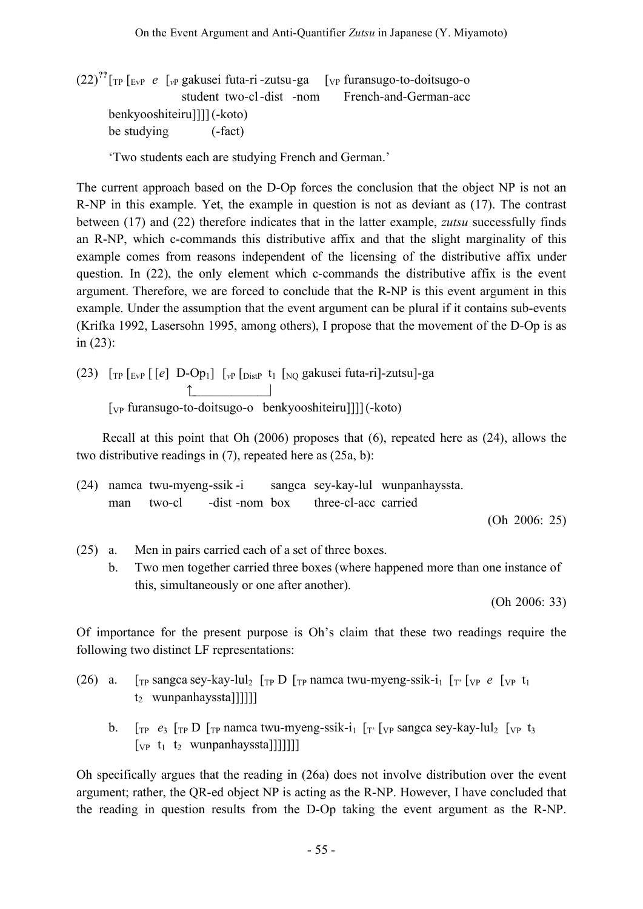(22)**??** [TP [EvP *e* [*v*<sup>P</sup> gakusei futa-ri -zutsu-ga [VP furansugo-to-doitsugo-o student two-cl-dist -nom French-and-German-acc benkyooshiteiru]]]](-koto) be studying (-fact)

'Two students each are studying French and German.'

The current approach based on the D-Op forces the conclusion that the object NP is not an R-NP in this example. Yet, the example in question is not as deviant as (17). The contrast between (17) and (22) therefore indicates that in the latter example, *zutsu* successfully finds an R-NP, which c-commands this distributive affix and that the slight marginality of this example comes from reasons independent of the licensing of the distributive affix under question. In (22), the only element which c-commands the distributive affix is the event argument. Therefore, we are forced to conclude that the R-NP is this event argument in this example. Under the assumption that the event argument can be plural if it contains sub-events (Krifka 1992, Lasersohn 1995, among others), I propose that the movement of the D-Op is as in (23):

(23) 
$$
[\text{TP} [E_{VP} [e] D-Op_1] [v_P [D_{ISIP} t_1 [NQ] gakusei futa-ri]-zutsu]-ga
$$
  $[\text{VP} \text{ furansugo-to-doitsugo-o} \text{benkyooshiteiru}]]](-koto)$ 

Recall at this point that Oh (2006) proposes that (6), repeated here as (24), allows the two distributive readings in (7), repeated here as (25a, b):

(24) namca twu-myeng-ssik -i sangca sey-kay-lul wunpanhayssta. man two-cl -dist -nom box three-cl-acc carried (Oh 2006: 25)

(25) a. Men in pairs carried each of a set of three boxes.

b. Two men together carried three boxes (where happened more than one instance of this, simultaneously or one after another).

(Oh 2006: 33)

Of importance for the present purpose is Oh's claim that these two readings require the following two distinct LF representations:

- (26) a.  $[\text{TP} \text{ sangca} \text{sey-} \text{kay-} \text{lu}_2]$   $[\text{TP} \text{D} \text{ [TP} \text{ namea} \text{ twu-} \text{myeng-} \text{ssik-} \text{i}_1]$   $[\text{TP} \text{ [VP} \text{ [VP} \text{ t}_1 \text{ m} \text{w} \text{)]}]$ t<sub>2</sub> wunpanhayssta]]]]]]
	- b.  $\int_{\text{TP}} e_3 \int_{\text{TP}} D \int_{\text{TP}}$  namca twu-myeng-ssik-i<sub>1</sub>  $\int_{\text{TP}} \int_{\text{VP}}$  sangca sey-kay-lul<sub>2</sub>  $\int_{\text{VP}} t_3$  $[vP_t t_1 t_2 wunpanhayssta]]]]]]$

Oh specifically argues that the reading in (26a) does not involve distribution over the event argument; rather, the QR-ed object NP is acting as the R-NP. However, I have concluded that the reading in question results from the D-Op taking the event argument as the R-NP.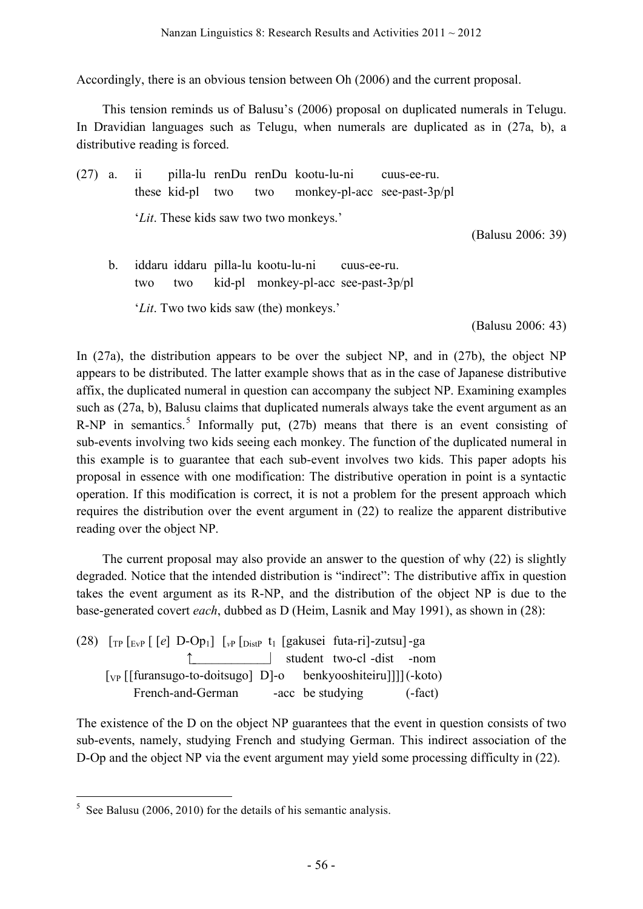Accordingly, there is an obvious tension between Oh (2006) and the current proposal.

This tension reminds us of Balusu's (2006) proposal on duplicated numerals in Telugu. In Dravidian languages such as Telugu, when numerals are duplicated as in (27a, b), a distributive reading is forced.

- (27) a. ii pilla-lu renDu renDu kootu-lu-ni cuus-ee-ru. these kid-pl two two monkey-pl-acc see-past-3p/pl '*Lit*. These kids saw two two monkeys.' (Balusu 2006: 39) b. iddaru iddaru pilla-lu kootu-lu-ni cuus-ee-ru.
	- two two kid-pl monkey-pl-acc see-past-3p/pl '*Lit*. Two two kids saw (the) monkeys.'

(Balusu 2006: 43)

In (27a), the distribution appears to be over the subject NP, and in (27b), the object NP appears to be distributed. The latter example shows that as in the case of Japanese distributive affix, the duplicated numeral in question can accompany the subject NP. Examining examples such as (27a, b), Balusu claims that duplicated numerals always take the event argument as an R-NP in semantics.<sup>5</sup> Informally put, (27b) means that there is an event consisting of sub-events involving two kids seeing each monkey. The function of the duplicated numeral in this example is to guarantee that each sub-event involves two kids. This paper adopts his proposal in essence with one modification: The distributive operation in point is a syntactic operation. If this modification is correct, it is not a problem for the present approach which requires the distribution over the event argument in (22) to realize the apparent distributive reading over the object NP.

The current proposal may also provide an answer to the question of why (22) is slightly degraded. Notice that the intended distribution is "indirect": The distributive affix in question takes the event argument as its R-NP, and the distribution of the object NP is due to the base-generated covert *each*, dubbed as D (Heim, Lasnik and May 1991), as shown in (28):

| (28) $\lceil r \rceil$ [EvP $\lceil e \rceil$ D-Op <sub>1</sub> ] $\lceil r \rceil$ [Distruber] [gakusei futa-ri]-zutsu] -ga |  |                           |           |
|------------------------------------------------------------------------------------------------------------------------------|--|---------------------------|-----------|
|                                                                                                                              |  | student two-cl -dist -nom |           |
| [vp [[furansugo-to-doitsugo] D]-o benkyooshiteiru]]][(-koto)                                                                 |  |                           |           |
| French-and-German -acc be studying                                                                                           |  |                           | $(-fact)$ |

The existence of the D on the object NP guarantees that the event in question consists of two sub-events, namely, studying French and studying German. This indirect association of the D-Op and the object NP via the event argument may yield some processing difficulty in (22).

 $5$  See Balusu (2006, 2010) for the details of his semantic analysis.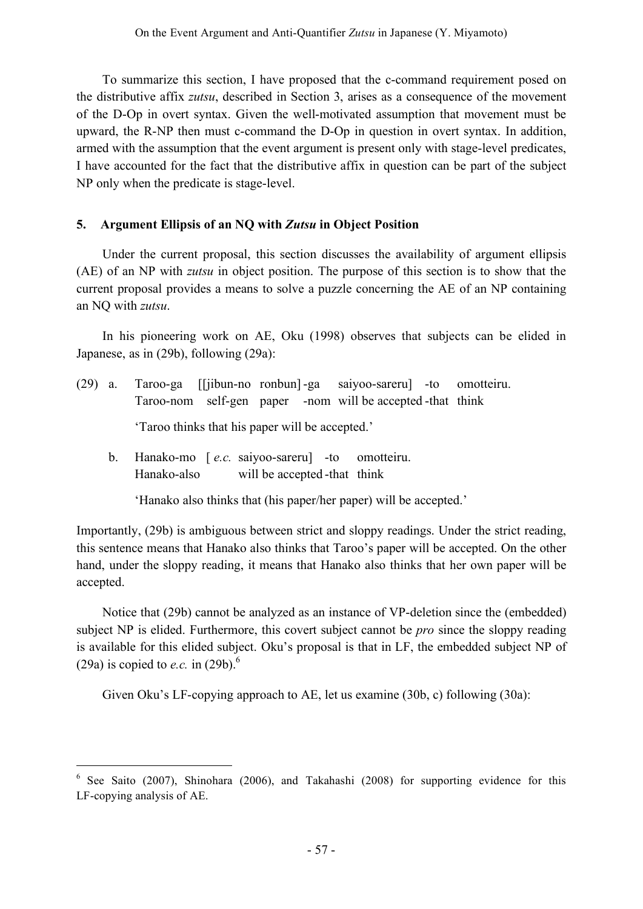To summarize this section, I have proposed that the c-command requirement posed on the distributive affix *zutsu*, described in Section 3, arises as a consequence of the movement of the D-Op in overt syntax. Given the well-motivated assumption that movement must be upward, the R-NP then must c-command the D-Op in question in overt syntax. In addition, armed with the assumption that the event argument is present only with stage-level predicates, I have accounted for the fact that the distributive affix in question can be part of the subject NP only when the predicate is stage-level.

## **5. Argument Ellipsis of an NQ with** *Zutsu* **in Object Position**

Under the current proposal, this section discusses the availability of argument ellipsis (AE) of an NP with *zutsu* in object position. The purpose of this section is to show that the current proposal provides a means to solve a puzzle concerning the AE of an NP containing an NQ with *zutsu*.

In his pioneering work on AE, Oku (1998) observes that subjects can be elided in Japanese, as in (29b), following (29a):

(29) a. Taroo-ga [[jibun-no ronbun] -ga saiyoo-sareru] -to omotteiru. Taroo-nom self-gen paper -nom will be accepted -that think

'Taroo thinks that his paper will be accepted.'

b. Hanako-mo [ *e.c.* saiyoo-sareru] -to omotteiru. Hanako-also will be accepted -that think

'Hanako also thinks that (his paper/her paper) will be accepted.'

Importantly, (29b) is ambiguous between strict and sloppy readings. Under the strict reading, this sentence means that Hanako also thinks that Taroo's paper will be accepted. On the other hand, under the sloppy reading, it means that Hanako also thinks that her own paper will be accepted.

Notice that (29b) cannot be analyzed as an instance of VP-deletion since the (embedded) subject NP is elided. Furthermore, this covert subject cannot be *pro* since the sloppy reading is available for this elided subject. Oku's proposal is that in LF, the embedded subject NP of (29a) is copied to *e.c.* in  $(29b)$ .<sup>6</sup>

Given Oku's LF-copying approach to AE, let us examine (30b, c) following (30a):

 <sup>6</sup> See Saito (2007), Shinohara (2006), and Takahashi (2008) for supporting evidence for this LF-copying analysis of AE.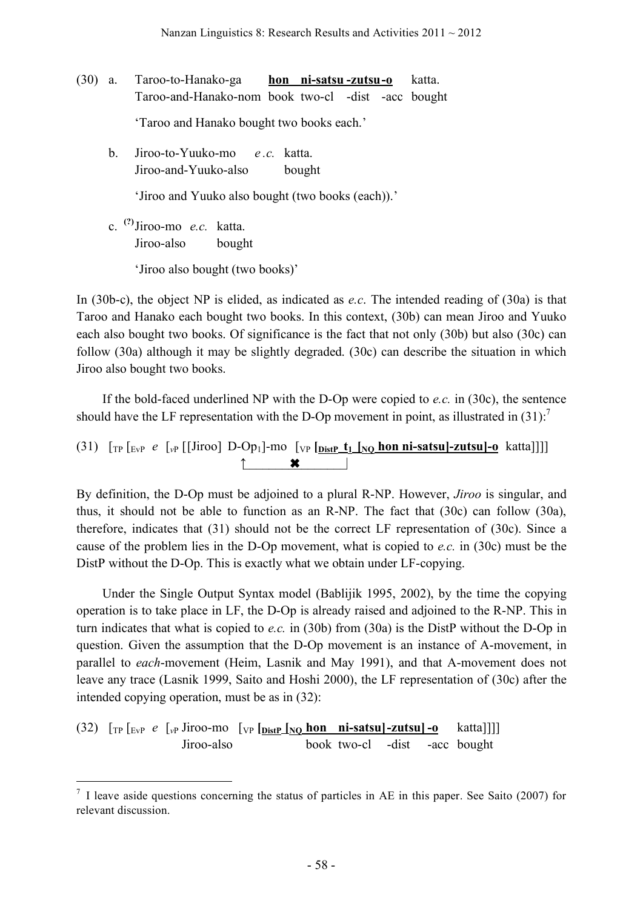- (30) a. Taroo-to-Hanako-ga **hon ni-satsu -zutsu-o** katta. Taroo-and-Hanako-nom book two-cl -dist -acc bought 'Taroo and Hanako bought two books each.'
	- b. Jiroo-to-Yuuko-mo *e .c.* katta. Jiroo-and-Yuuko-also bought 'Jiroo and Yuuko also bought (two books (each)).'
	- c. **(?)** Jiroo-mo *e.c.* katta. Jiroo-also bought 'Jiroo also bought (two books)'

In (30b-c), the object NP is elided, as indicated as *e.c*. The intended reading of (30a) is that Taroo and Hanako each bought two books. In this context, (30b) can mean Jiroo and Yuuko each also bought two books. Of significance is the fact that not only (30b) but also (30c) can follow (30a) although it may be slightly degraded. (30c) can describe the situation in which Jiroo also bought two books.

If the bold-faced underlined NP with the D-Op were copied to *e.c.* in (30c), the sentence should have the LF representation with the D-Op movement in point, as illustrated in  $(31)$ .<sup>7</sup>

(31)  $\left[\text{TP} \left[\text{EvP} \ e \left[\text{VP} \left[\text{Iiroo}\right] \ D \text{-} \text{Op}_1\right] \text{-} \text{mo} \left[\text{VP} \left[\text{DistP} \ \text{t}_1 \ \text{INO} \ \text{hon} \ \text{ni-satsul-zutsul} \text{-} \text{o} \ \text{katta} \right]\right] \right] \right]$  $\uparrow$   $\qquad \qquad \star$   $\qquad \qquad$ 

By definition, the D-Op must be adjoined to a plural R-NP. However, *Jiroo* is singular, and thus, it should not be able to function as an R-NP. The fact that (30c) can follow (30a), therefore, indicates that (31) should not be the correct LF representation of (30c). Since a cause of the problem lies in the D-Op movement, what is copied to *e.c.* in (30c) must be the DistP without the D-Op. This is exactly what we obtain under LF-copying.

Under the Single Output Syntax model (Bablijik 1995, 2002), by the time the copying operation is to take place in LF, the D-Op is already raised and adjoined to the R-NP. This in turn indicates that what is copied to *e.c.* in (30b) from (30a) is the DistP without the D-Op in question. Given the assumption that the D-Op movement is an instance of A-movement, in parallel to *each*-movement (Heim, Lasnik and May 1991), and that A-movement does not leave any trace (Lasnik 1999, Saito and Hoshi 2000), the LF representation of (30c) after the intended copying operation, must be as in (32):

(32)  $\left[\text{TP} \left[\text{EvP} \ e \ \left[\text{VP} \text{Jiroo-mo} \ \left[\text{VP} \left[\text{DistP} \underline{\text{No}} \underline{\text{hon}} \ \text{ni-satsu} \right] - \underline{\text{zutsu}} \right] - \underline{\text{o}} \right] \right]$ Jiroo-also book two-cl -dist -acc bought

 $<sup>7</sup>$  I leave aside questions concerning the status of particles in AE in this paper. See Saito (2007) for</sup> relevant discussion.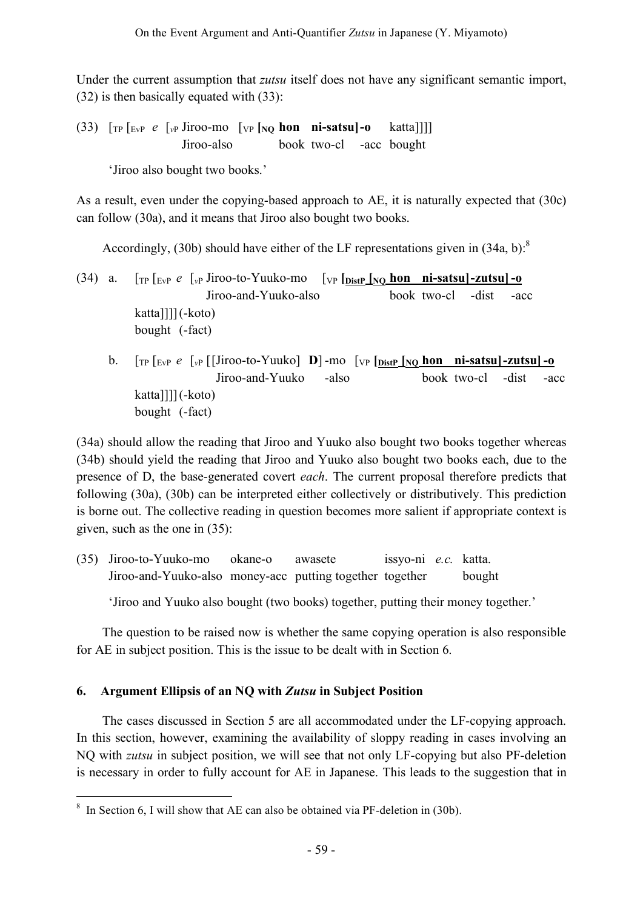Under the current assumption that *zutsu* itself does not have any significant semantic import, (32) is then basically equated with (33):

(33)  $\lceil \frac{1}{T} \rceil \rceil$   $\lceil \frac{1}{T} \rceil \rceil$   $\lceil \frac{1}{T} \rceil$   $\lceil \frac{1}{T} \rceil$   $\lceil \frac{1}{T} \rceil$   $\lceil \frac{1}{T} \rceil$   $\lceil \frac{1}{T} \rceil$   $\lceil \frac{1}{T} \rceil$   $\lceil \frac{1}{T} \rceil$   $\lceil \frac{1}{T} \rceil$   $\lceil \frac{1}{T} \rceil$   $\lceil \frac{1}{T} \rceil$   $\lceil \frac{1}{T} \rceil$   $\$ Jiroo-also book two-cl -acc bought

'Jiroo also bought two books.'

As a result, even under the copying-based approach to AE, it is naturally expected that (30c) can follow (30a), and it means that Jiroo also bought two books.

Accordingly, (30b) should have either of the LF representations given in  $(34a, b)$ .<sup>8</sup>

- (34) a. [TP [EvP *e* [*v*<sup>P</sup> Jiroo-to-Yuuko-mo [VP **[DistP [NQ hon ni-satsu]-zutsu] -o** Jiroo-and-Yuuko-also book two-cl -dist -acc katta]]]](-koto) bought (-fact)
	- b.  $\int_{\text{TP}} \int_{\text{EvP}} e \int_{\text{VP}} [\text{Jiroo-to-Yuuko}] \text{ D} \text{mo} [\text{vp} [\text{b}_{\text{istP}}]_{\text{NO}} \text{ hon} \text{ ni-satsu}] \text{zutsu} ] \text{o}$ [Jiroo-and-Yuuko -also book two-cl -dist -acc katta]]]](-koto) bought (-fact)

(34a) should allow the reading that Jiroo and Yuuko also bought two books together whereas (34b) should yield the reading that Jiroo and Yuuko also bought two books each, due to the presence of D, the base-generated covert *each*. The current proposal therefore predicts that following (30a), (30b) can be interpreted either collectively or distributively. This prediction is borne out. The collective reading in question becomes more salient if appropriate context is given, such as the one in (35):

(35) Jiroo-to-Yuuko-mo okane-o awasete issyo-ni *e.c.* katta. Jiroo-and-Yuuko-also money-acc putting together together bought

'Jiroo and Yuuko also bought (two books) together, putting their money together.'

The question to be raised now is whether the same copying operation is also responsible for AE in subject position. This is the issue to be dealt with in Section 6.

# **6. Argument Ellipsis of an NQ with** *Zutsu* **in Subject Position**

The cases discussed in Section 5 are all accommodated under the LF-copying approach. In this section, however, examining the availability of sloppy reading in cases involving an NQ with *zutsu* in subject position, we will see that not only LF-copying but also PF-deletion is necessary in order to fully account for AE in Japanese. This leads to the suggestion that in

<sup>&</sup>lt;sup>8</sup> In Section 6, I will show that AE can also be obtained via PF-deletion in (30b).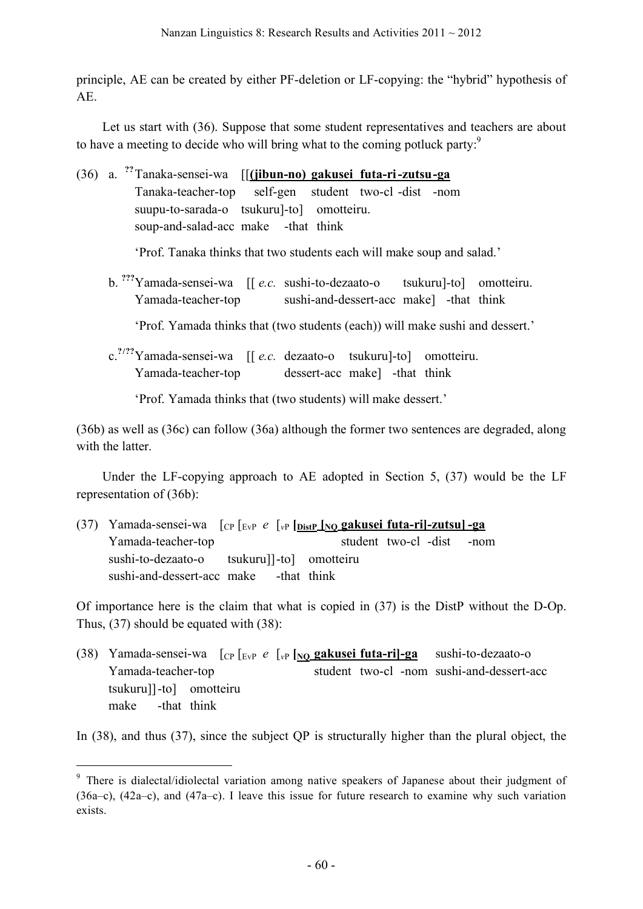principle, AE can be created by either PF-deletion or LF-copying: the "hybrid" hypothesis of AE.

Let us start with (36). Suppose that some student representatives and teachers are about to have a meeting to decide who will bring what to the coming potluck party.<sup>9</sup>

|  | (36) a. <sup>??</sup> Tanaka-sensei-wa [[ <b>(jibun-no) gakusei futa-ri-zutsu-ga</b> |
|--|--------------------------------------------------------------------------------------|
|  | Tanaka-teacher-top self-gen student two-cl-dist -nom                                 |
|  | suupu-to-sarada-o tsukuru]-to] omotteiru.                                            |
|  | soup-and-salad-acc make -that think                                                  |
|  | 'Prof. Tanaka thinks that two students each will make soup and salad.'               |
|  | b. ""Yamada-sensei-wa [[e.c. sushi-to-dezaato-o tsukuru]-to] omotteiru.              |
|  | Yamada-teacher-top sushi-and-dessert-acc make l-that think                           |
|  | 'Prof. Yamada thinks that (two students (each)) will make sushi and dessert.'        |
|  | c. <sup>?/??</sup> Yamada-sensei-wa [[e.c. dezaato-o tsukuru]-to] omotteiru.         |
|  | Yamada-teacher-top dessert-acc make] -that think                                     |

'Prof. Yamada thinks that (two students) will make dessert.'

(36b) as well as (36c) can follow (36a) although the former two sentences are degraded, along with the latter.

Under the LF-copying approach to AE adopted in Section 5, (37) would be the LF representation of (36b):

(37) Yamada-sensei-wa [CP [EvP *e* [*v*<sup>P</sup> **[DistP [NQ gakusei futa-ri]-zutsu] -ga** Yamada-teacher-top student two-cl -dist -nom sushi-to-dezaato-o tsukuru]]-to] omotteiru sushi-and-dessert-acc make -that think

Of importance here is the claim that what is copied in (37) is the DistP without the D-Op. Thus, (37) should be equated with (38):

(38) Yamada-sensei-wa [CP [EvP *e* [*v*<sup>P</sup> **[NQ gakusei futa-ri]-ga** sushi-to-dezaato-o Yamada-teacher-top student two-cl -nom sushi-and-dessert-acc tsukuru]]-to] omotteiru make -that think

In (38), and thus (37), since the subject QP is structurally higher than the plural object, the

<sup>&</sup>lt;sup>9</sup> There is dialectal/idiolectal variation among native speakers of Japanese about their judgment of (36a–c), (42a–c), and (47a–c). I leave this issue for future research to examine why such variation exists.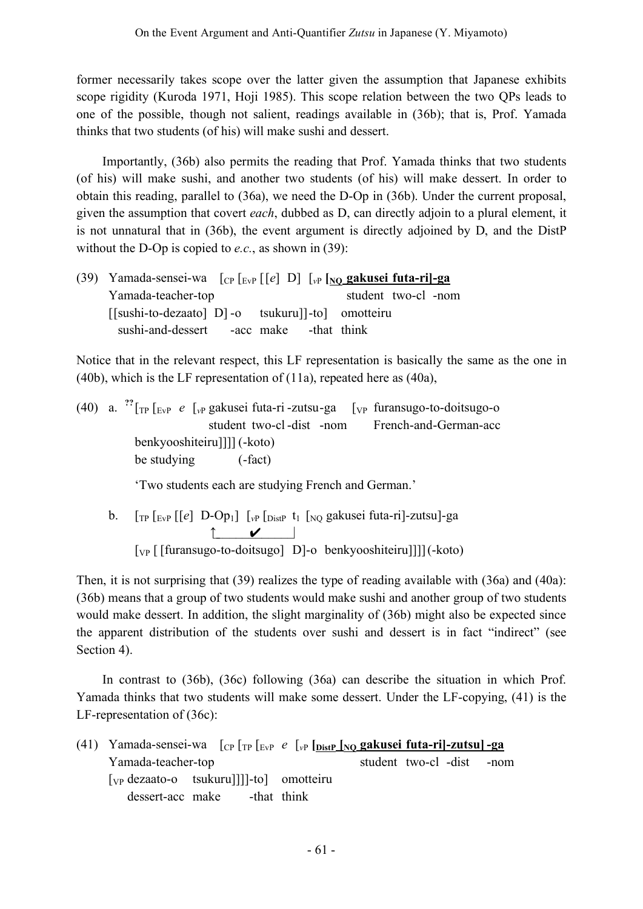former necessarily takes scope over the latter given the assumption that Japanese exhibits scope rigidity (Kuroda 1971, Hoji 1985). This scope relation between the two QPs leads to one of the possible, though not salient, readings available in (36b); that is, Prof. Yamada thinks that two students (of his) will make sushi and dessert.

Importantly, (36b) also permits the reading that Prof. Yamada thinks that two students (of his) will make sushi, and another two students (of his) will make dessert. In order to obtain this reading, parallel to (36a), we need the D-Op in (36b). Under the current proposal, given the assumption that covert *each*, dubbed as D, can directly adjoin to a plural element, it is not unnatural that in (36b), the event argument is directly adjoined by D, and the DistP without the D-Op is copied to *e.c.*, as shown in (39):

(39) Yamada-sensei-wa [CP [EvP [[*e*] D] [*v*<sup>P</sup> **[NQ gakusei futa-ri]-ga** Yamada-teacher-top student two-cl -nom [[sushi-to-dezaato] D] -o tsukuru]]-to] omotteiru sushi-and-dessert -acc make -that think

Notice that in the relevant respect, this LF representation is basically the same as the one in (40b), which is the LF representation of (11a), repeated here as (40a),

(40) a. **??** [TP [EvP *e* [*v*<sup>P</sup> gakusei futa-ri -zutsu-ga [VP furansugo-to-doitsugo-o student two-cl-dist -nom French-and-German-acc benkyooshiteiru]]]] (-koto) be studying (-fact)

'Two students each are studying French and German.'

b. [TP [EvP [[*e*] D-Op1] [*v*<sup>P</sup> [DistP t1 [NQ gakusei futa-ri]-zutsu]-ga ↑\_\_\_\_\_\_✔\_\_\_\_\_\_\_| [VP [ [furansugo-to-doitsugo] D]-o benkyooshiteiru]]]](-koto)

Then, it is not surprising that (39) realizes the type of reading available with (36a) and (40a): (36b) means that a group of two students would make sushi and another group of two students would make dessert. In addition, the slight marginality of (36b) might also be expected since the apparent distribution of the students over sushi and dessert is in fact "indirect" (see Section 4).

In contrast to (36b), (36c) following (36a) can describe the situation in which Prof. Yamada thinks that two students will make some dessert. Under the LF-copying, (41) is the LF-representation of (36c):

(41) Yamada-sensei-wa [CP [TP [EvP *e* [*v*<sup>P</sup> **[DistP [NQ gakusei futa-ri]-zutsu] -ga** Yamada-teacher-top student two-cl -dist -nom [VP dezaato-o tsukuru]]]]-to] omotteiru dessert-acc make -that think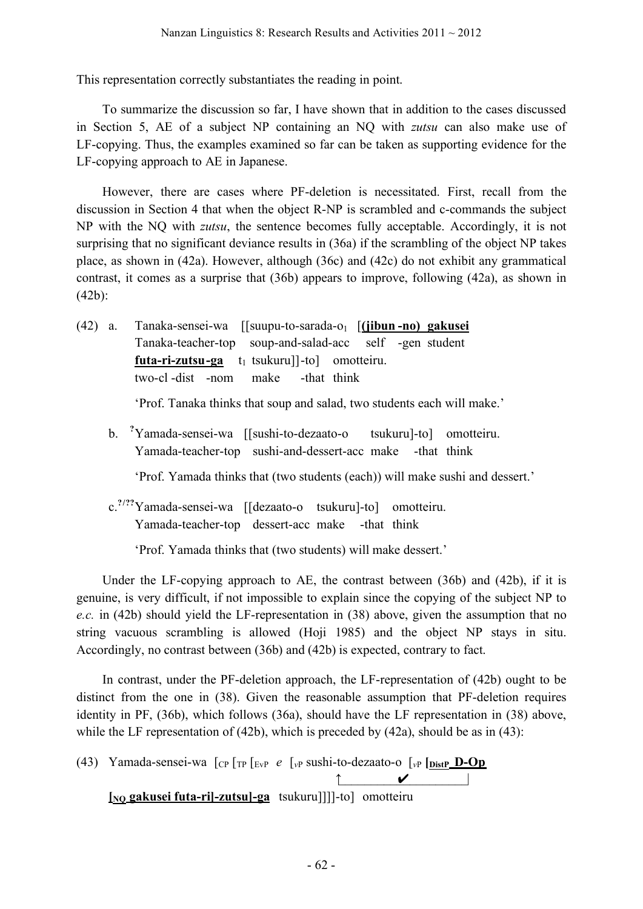This representation correctly substantiates the reading in point.

To summarize the discussion so far, I have shown that in addition to the cases discussed in Section 5, AE of a subject NP containing an NQ with *zutsu* can also make use of LF-copying. Thus, the examples examined so far can be taken as supporting evidence for the LF-copying approach to AE in Japanese.

However, there are cases where PF-deletion is necessitated. First, recall from the discussion in Section 4 that when the object R-NP is scrambled and c-commands the subject NP with the NQ with *zutsu*, the sentence becomes fully acceptable. Accordingly, it is not surprising that no significant deviance results in (36a) if the scrambling of the object NP takes place, as shown in (42a). However, although (36c) and (42c) do not exhibit any grammatical contrast, it comes as a surprise that (36b) appears to improve, following (42a), as shown in (42b):

(42) a. Tanaka-sensei-wa [[suupu-to-sarada-o1 [**(jibun -no) gakusei** Tanaka-teacher-top soup-and-salad-acc self -gen student **futa-ri-zutsu-ga** t<sub>1</sub> tsukuru]]-to] omotteiru. two-cl -dist -nom make -that think

'Prof. Tanaka thinks that soup and salad, two students each will make.'

b. **?** Yamada-sensei-wa [[sushi-to-dezaato-o tsukuru]-to] omotteiru. Yamada-teacher-top sushi-and-dessert-acc make -that think

'Prof. Yamada thinks that (two students (each)) will make sushi and dessert.'

c. **?/??** Yamada-sensei-wa [[dezaato-o tsukuru]-to] omotteiru. Yamada-teacher-top dessert-acc make -that think

'Prof. Yamada thinks that (two students) will make dessert.'

Under the LF-copying approach to AE, the contrast between (36b) and (42b), if it is genuine, is very difficult, if not impossible to explain since the copying of the subject NP to *e.c.* in (42b) should yield the LF-representation in (38) above, given the assumption that no string vacuous scrambling is allowed (Hoji 1985) and the object NP stays in situ. Accordingly, no contrast between (36b) and (42b) is expected, contrary to fact.

In contrast, under the PF-deletion approach, the LF-representation of (42b) ought to be distinct from the one in (38). Given the reasonable assumption that PF-deletion requires identity in PF, (36b), which follows (36a), should have the LF representation in (38) above, while the LF representation of  $(42b)$ , which is preceded by  $(42a)$ , should be as in  $(43)$ :

(43) Yamada-sensei-wa [CP [TP [EvP *e* [*v*<sup>P</sup> sushi-to-dezaato-o [*v*<sup>P</sup> **[DistP D-Op**  $\uparrow$   $\checkmark$   $\downarrow$   $\downarrow$ **[NQ gakusei futa-ri]-zutsu]-ga** tsukuru]]]]-to] omotteiru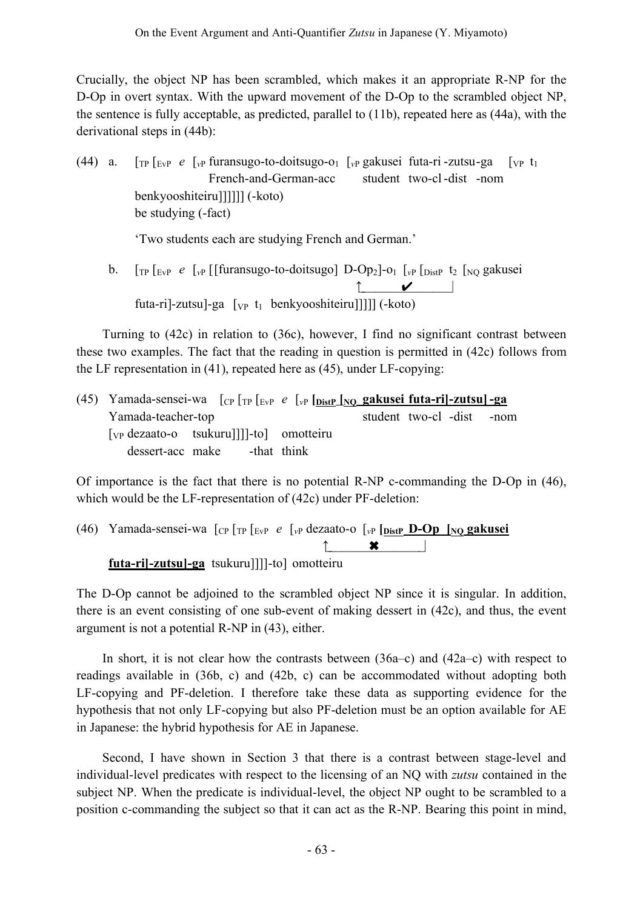Crucially, the object NP has been scrambled, which makes it an appropriate R-NP for the D-Op in overt syntax. With the upward movement of the D-Op to the scrambled object NP, the sentence is fully acceptable, as predicted, parallel to (11b), repeated here as (44a), with the derivational steps in (44b):

(44) a. [TP [EvP *e* [*v*<sup>P</sup> furansugo-to-doitsugo-o1 [*v*<sup>P</sup> gakusei futa-ri -zutsu-ga [VP t1 French-and-German-acc student two-cl-dist -nom benkyooshiteiru]]]]]] (-koto) be studying (-fact)

'Two students each are studying French and German.'

b.  $\int_{\text{TP}} \int_{\text{EvP}} e \int_{\text{VP}} \int_{\text{F}} \int_{\text{V}} \text{F} \int_{\text{F}} \int_{\text{EvP}} \int_{\text{V}} \int_{\text{F}} \int_{\text{F}} \int_{\text{V}} \int_{\text{V}} \int_{\text{V}} \int_{\text{V}} \int_{\text{V}} \int_{\text{V}} \int_{\text{V}} \int_{\text{V}} \int_{\text{V}} \int_{\text{V}} \int_{\text{V}} \int_{\text{V}} \int_{\text{V}} \int_{\text{V}} \int_{\text{V}} \int_{\text{V}} \$ ↑  $\boldsymbol{\checkmark}$   $\vert$ futa-ri]-zutsu]-ga [<sub>VP</sub> t<sub>1</sub> benkyooshiteiru]]]]] (-koto)

Turning to (42c) in relation to (36c), however, I find no significant contrast between these two examples. The fact that the reading in question is permitted in (42c) follows from the LF representation in (41), repeated here as (45), under LF-copying:

(45) Yamada-sensei-wa [CP [TP [EvP *e* [*v*<sup>P</sup> **[DistP [NQ gakusei futa-ri]-zutsu] -ga** Yamada-teacher-top student two-cl -dist -nom [VP dezaato-o tsukuru]]]]-to] omotteiru dessert-acc make -that think

Of importance is the fact that there is no potential R-NP c-commanding the D-Op in (46), which would be the LF-representation of (42c) under PF-deletion:

(46) Yamada-sensei-wa [CP [TP [EvP *e* [*v*<sup>P</sup> dezaato-o [*v*<sup>P</sup> **[DistP D-Op [NQ gakusei**  $\boldsymbol{\mathsf{x}}$ **futa-ri]-zutsu]-ga** tsukuru]]]]-to] omotteiru

The D-Op cannot be adjoined to the scrambled object NP since it is singular. In addition, there is an event consisting of one sub-event of making dessert in (42c), and thus, the event argument is not a potential R-NP in (43), either.

In short, it is not clear how the contrasts between (36a–c) and (42a–c) with respect to readings available in (36b, c) and (42b, c) can be accommodated without adopting both LF-copying and PF-deletion. I therefore take these data as supporting evidence for the hypothesis that not only LF-copying but also PF-deletion must be an option available for AE in Japanese: the hybrid hypothesis for AE in Japanese.

Second, I have shown in Section 3 that there is a contrast between stage-level and individual-level predicates with respect to the licensing of an NQ with *zutsu* contained in the subject NP. When the predicate is individual-level, the object NP ought to be scrambled to a position c-commanding the subject so that it can act as the R-NP. Bearing this point in mind,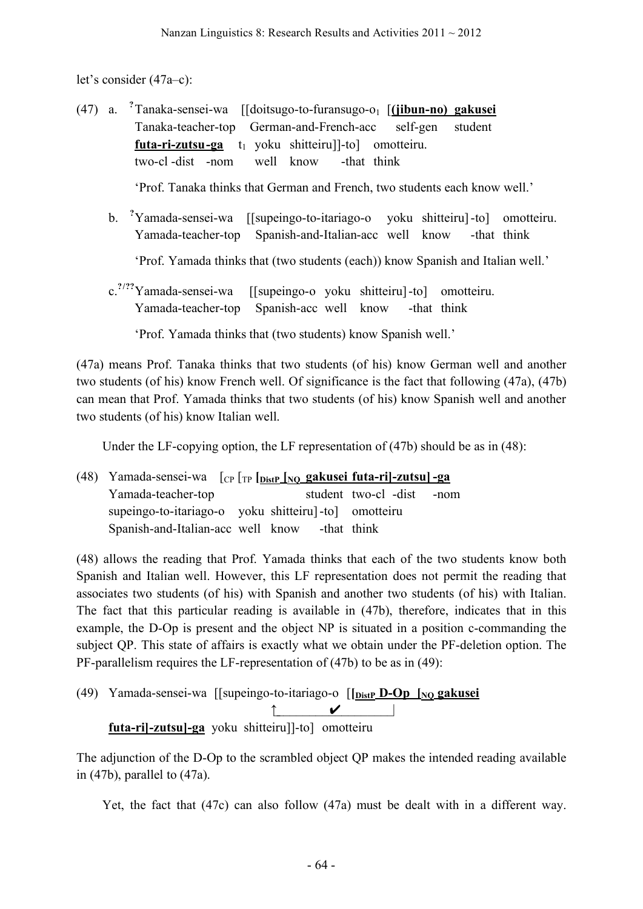let's consider (47a–c):

- (47) a. **?** Tanaka-sensei-wa [[doitsugo-to-furansugo-o1 [**(jibun-no) gakusei** Tanaka-teacher-top [[German-and-French-acc [**(**self-gen student futa-ri-zutsu-ga t<sub>1</sub> yoku shitteiru]]-to] omotteiru. two-cl -dist -nom well know -that think 'Prof. Tanaka thinks that German and French, two students each know well.'
	- b. **?** Yamada-sensei-wa [[supeingo-to-itariago-o yoku shitteiru]-to] omotteiru. Yamada-teacher-top Spanish-and-Italian-acc well know -that think

'Prof. Yamada thinks that (two students (each)) know Spanish and Italian well.'

c. **?/??** Yamada-sensei-wa [[supeingo-o yoku shitteiru]-to] omotteiru. Yamada-teacher-top Spanish-acc well know -that think

'Prof. Yamada thinks that (two students) know Spanish well.'

(47a) means Prof. Tanaka thinks that two students (of his) know German well and another two students (of his) know French well. Of significance is the fact that following (47a), (47b) can mean that Prof. Yamada thinks that two students (of his) know Spanish well and another two students (of his) know Italian well.

Under the LF-copying option, the LF representation of (47b) should be as in (48):

(48) Yamada-sensei-wa [CP [TP **[DistP [NQ gakusei futa-ri]-zutsu] -ga** Yamada-teacher-top student two-cl -dist -nom supeingo-to-itariago-o yoku shitteiru]-to] omotteiru Spanish-and-Italian-acc well know -that think

(48) allows the reading that Prof. Yamada thinks that each of the two students know both Spanish and Italian well. However, this LF representation does not permit the reading that associates two students (of his) with Spanish and another two students (of his) with Italian. The fact that this particular reading is available in (47b), therefore, indicates that in this example, the D-Op is present and the object NP is situated in a position c-commanding the subject QP. This state of affairs is exactly what we obtain under the PF-deletion option. The PF-parallelism requires the LF-representation of (47b) to be as in (49):

(49) Yamada-sensei-wa [[supeingo-to-itariago-o [**[DistP D-Op [NQ gakusei**  $\uparrow$   $\checkmark$   $\downarrow$ **futa-ri]-zutsu]-ga** yoku shitteiru]]-to] omotteiru

The adjunction of the D-Op to the scrambled object QP makes the intended reading available in (47b), parallel to (47a).

Yet, the fact that (47c) can also follow (47a) must be dealt with in a different way.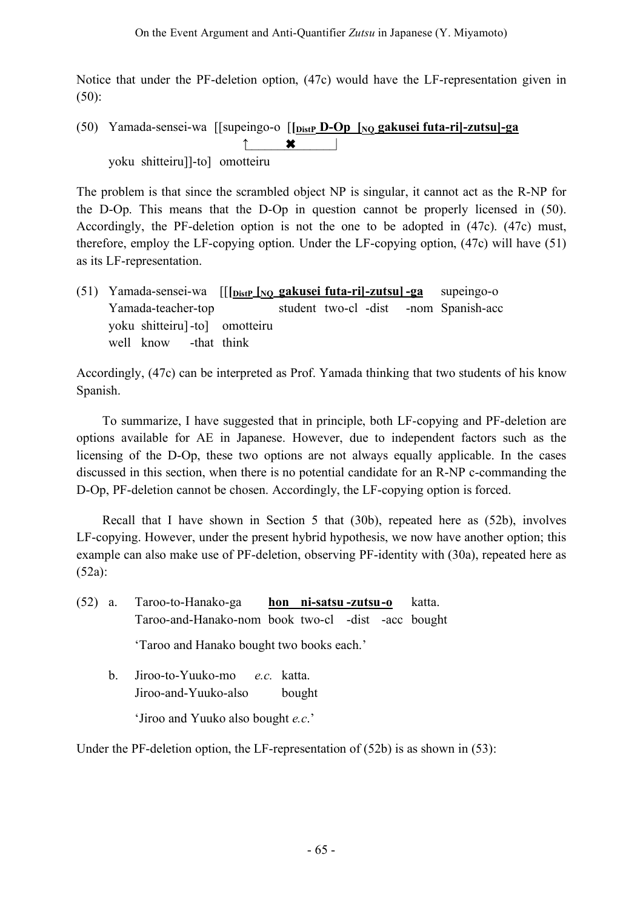Notice that under the PF-deletion option, (47c) would have the LF-representation given in (50):

(50) Yamada-sensei-wa [[supeingo-o [**[DistP D-Op [NQ gakusei futa-ri]-zutsu]-ga** ↑  $\boldsymbol{\mathsf{×}}$ yoku shitteiru]]-to] omotteiru

The problem is that since the scrambled object NP is singular, it cannot act as the R-NP for the D-Op. This means that the D-Op in question cannot be properly licensed in (50). Accordingly, the PF-deletion option is not the one to be adopted in (47c). (47c) must, therefore, employ the LF-copying option. Under the LF-copying option, (47c) will have (51) as its LF-representation.

(51) Yamada-sensei-wa [[**[DistP [NQ gakusei futa-ri]-zutsu] -ga** supeingo-o Yamada-teacher-top student two-cl -dist -nom Spanish-acc yoku shitteiru]-to] omotteiru well know -that think

Accordingly, (47c) can be interpreted as Prof. Yamada thinking that two students of his know Spanish.

To summarize, I have suggested that in principle, both LF-copying and PF-deletion are options available for AE in Japanese. However, due to independent factors such as the licensing of the D-Op, these two options are not always equally applicable. In the cases discussed in this section, when there is no potential candidate for an R-NP c-commanding the D-Op, PF-deletion cannot be chosen. Accordingly, the LF-copying option is forced.

Recall that I have shown in Section 5 that (30b), repeated here as (52b), involves LF-copying. However, under the present hybrid hypothesis, we now have another option; this example can also make use of PF-deletion, observing PF-identity with (30a), repeated here as (52a):

| (52) | a.      | Taroo-to-Hanako-ga hon ni-satsu-zutsu-o<br>katta.                                                                    |
|------|---------|----------------------------------------------------------------------------------------------------------------------|
|      |         | Taroo-and-Hanako-nom book two-cl -dist -acc bought                                                                   |
|      |         | 'Taroo and Hanako bought two books each.'                                                                            |
|      | $b_{-}$ | Jiroo-to-Yuuko-mo <i>e.c.</i> katta.<br>Jiroo-and-Yuuko-also<br>bought<br>'Jiroo and Yuuko also bought <i>e.c.</i> ' |
|      |         |                                                                                                                      |

Under the PF-deletion option, the LF-representation of (52b) is as shown in (53):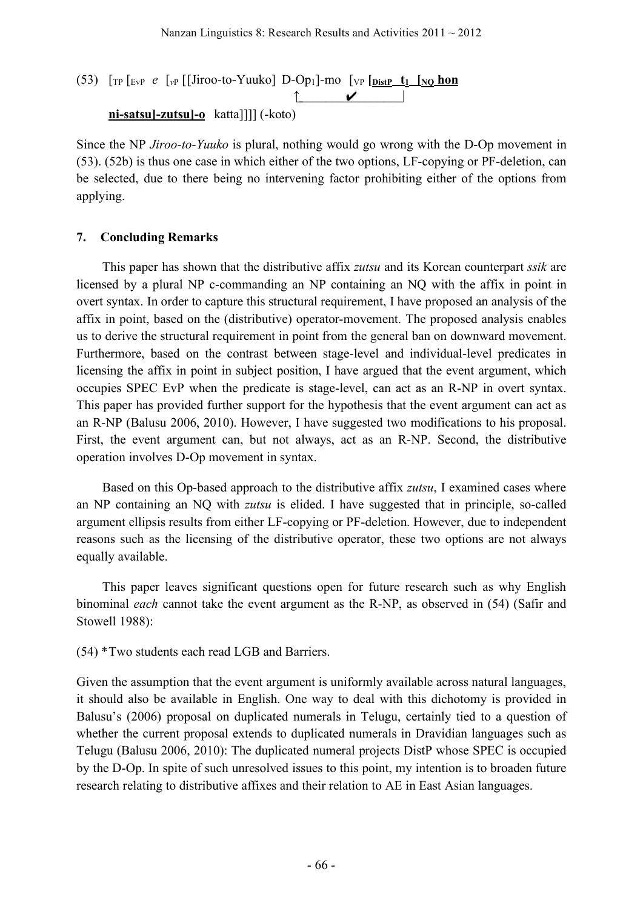(53)  $\lceil \frac{\text{TP}}{\text{TP}} \rceil$   $\lceil \frac{\text{FP}}{\text{NP}} \rceil$  [Jiroo-to-Yuuko] D-Op<sub>1</sub>]-mo  $\lceil \frac{\text{VP}}{\text{P}} \rceil$   $\lceil \frac{\text{P}}{\text{D}} \rceil$   $\lceil \frac{\text{P}}{\text{D}} \rceil$  $\uparrow$   $\checkmark$   $\downarrow$ **ni-satsu]-zutsu]-o** katta]]]] (-koto)

Since the NP *Jiroo-to-Yuuko* is plural, nothing would go wrong with the D-Op movement in (53). (52b) is thus one case in which either of the two options, LF-copying or PF-deletion, can be selected, due to there being no intervening factor prohibiting either of the options from applying.

### **7. Concluding Remarks**

This paper has shown that the distributive affix *zutsu* and its Korean counterpart *ssik* are licensed by a plural NP c-commanding an NP containing an NQ with the affix in point in overt syntax. In order to capture this structural requirement, I have proposed an analysis of the affix in point, based on the (distributive) operator-movement. The proposed analysis enables us to derive the structural requirement in point from the general ban on downward movement. Furthermore, based on the contrast between stage-level and individual-level predicates in licensing the affix in point in subject position, I have argued that the event argument, which occupies SPEC EvP when the predicate is stage-level, can act as an R-NP in overt syntax. This paper has provided further support for the hypothesis that the event argument can act as an R-NP (Balusu 2006, 2010). However, I have suggested two modifications to his proposal. First, the event argument can, but not always, act as an R-NP. Second, the distributive operation involves D-Op movement in syntax.

Based on this Op-based approach to the distributive affix *zutsu*, I examined cases where an NP containing an NQ with *zutsu* is elided. I have suggested that in principle, so-called argument ellipsis results from either LF-copying or PF-deletion. However, due to independent reasons such as the licensing of the distributive operator, these two options are not always equally available.

This paper leaves significant questions open for future research such as why English binominal *each* cannot take the event argument as the R-NP, as observed in (54) (Safir and Stowell 1988):

(54) \*Two students each read LGB and Barriers.

Given the assumption that the event argument is uniformly available across natural languages, it should also be available in English. One way to deal with this dichotomy is provided in Balusu's (2006) proposal on duplicated numerals in Telugu, certainly tied to a question of whether the current proposal extends to duplicated numerals in Dravidian languages such as Telugu (Balusu 2006, 2010): The duplicated numeral projects DistP whose SPEC is occupied by the D-Op. In spite of such unresolved issues to this point, my intention is to broaden future research relating to distributive affixes and their relation to AE in East Asian languages.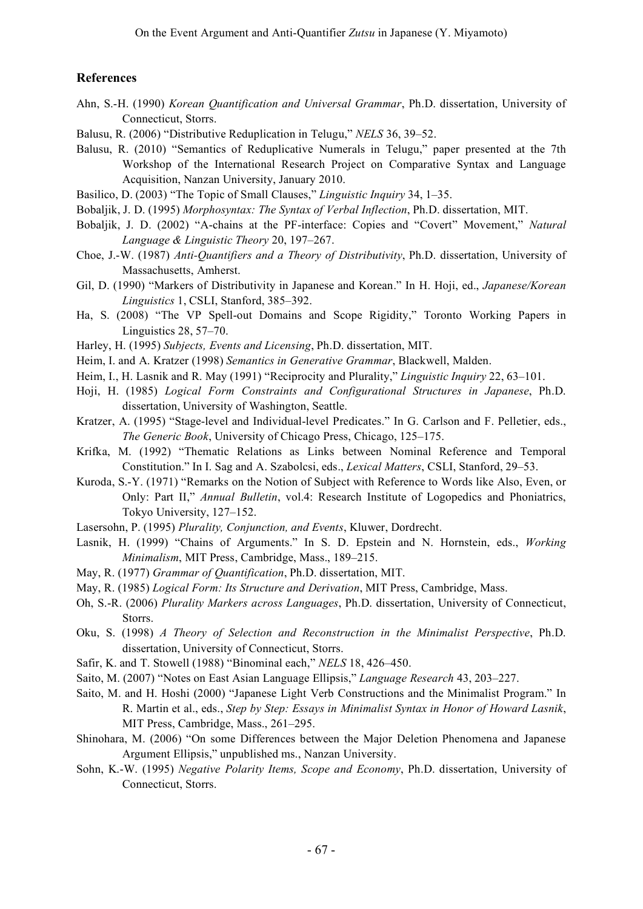#### **References**

- Ahn, S.-H. (1990) *Korean Quantification and Universal Grammar*, Ph.D. dissertation, University of Connecticut, Storrs.
- Balusu, R. (2006) "Distributive Reduplication in Telugu," *NELS* 36, 39–52.
- Balusu, R. (2010) "Semantics of Reduplicative Numerals in Telugu," paper presented at the 7th Workshop of the International Research Project on Comparative Syntax and Language Acquisition, Nanzan University, January 2010.
- Basilico, D. (2003) "The Topic of Small Clauses," *Linguistic Inquiry* 34, 1–35.
- Bobaljik, J. D. (1995) *Morphosyntax: The Syntax of Verbal Inflection*, Ph.D. dissertation, MIT.
- Bobaljik, J. D. (2002) "A-chains at the PF-interface: Copies and "Covert" Movement," *Natural Language & Linguistic Theory* 20, 197–267.
- Choe, J.-W. (1987) *Anti-Quantifiers and a Theory of Distributivity*, Ph.D. dissertation, University of Massachusetts, Amherst.
- Gil, D. (1990) "Markers of Distributivity in Japanese and Korean." In H. Hoji, ed., *Japanese/Korean Linguistics* 1, CSLI, Stanford, 385–392.
- Ha, S. (2008) "The VP Spell-out Domains and Scope Rigidity," Toronto Working Papers in Linguistics 28, 57–70.
- Harley, H. (1995) *Subjects, Events and Licensing*, Ph.D. dissertation, MIT.
- Heim, I. and A. Kratzer (1998) *Semantics in Generative Grammar*, Blackwell, Malden.
- Heim, I., H. Lasnik and R. May (1991) "Reciprocity and Plurality," *Linguistic Inquiry* 22, 63–101.
- Hoji, H. (1985) *Logical Form Constraints and Configurational Structures in Japanese*, Ph.D. dissertation, University of Washington, Seattle.
- Kratzer, A. (1995) "Stage-level and Individual-level Predicates." In G. Carlson and F. Pelletier, eds., *The Generic Book*, University of Chicago Press, Chicago, 125–175.
- Krifka, M. (1992) "Thematic Relations as Links between Nominal Reference and Temporal Constitution." In I. Sag and A. Szabolcsi, eds., *Lexical Matters*, CSLI, Stanford, 29–53.
- Kuroda, S.-Y. (1971) "Remarks on the Notion of Subject with Reference to Words like Also, Even, or Only: Part II," *Annual Bulletin*, vol.4: Research Institute of Logopedics and Phoniatrics, Tokyo University, 127–152.
- Lasersohn, P. (1995) *Plurality, Conjunction, and Events*, Kluwer, Dordrecht.
- Lasnik, H. (1999) "Chains of Arguments." In S. D. Epstein and N. Hornstein, eds., *Working Minimalism*, MIT Press, Cambridge, Mass., 189–215.
- May, R. (1977) *Grammar of Quantification*, Ph.D. dissertation, MIT.
- May, R. (1985) *Logical Form: Its Structure and Derivation*, MIT Press, Cambridge, Mass.
- Oh, S.-R. (2006) *Plurality Markers across Languages*, Ph.D. dissertation, University of Connecticut, Storrs.
- Oku, S. (1998) *A Theory of Selection and Reconstruction in the Minimalist Perspective*, Ph.D. dissertation, University of Connecticut, Storrs.
- Safir, K. and T. Stowell (1988) "Binominal each," *NELS* 18, 426–450.
- Saito, M. (2007) "Notes on East Asian Language Ellipsis," *Language Research* 43, 203–227.
- Saito, M. and H. Hoshi (2000) "Japanese Light Verb Constructions and the Minimalist Program." In R. Martin et al., eds., *Step by Step: Essays in Minimalist Syntax in Honor of Howard Lasnik*, MIT Press, Cambridge, Mass., 261–295.
- Shinohara, M. (2006) "On some Differences between the Major Deletion Phenomena and Japanese Argument Ellipsis," unpublished ms., Nanzan University.
- Sohn, K.-W. (1995) *Negative Polarity Items, Scope and Economy*, Ph.D. dissertation, University of Connecticut, Storrs.